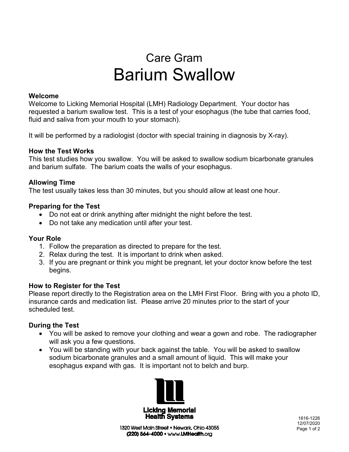# Care Gram Barium Swallow

## **Welcome**

Welcome to Licking Memorial Hospital (LMH) Radiology Department. Your doctor has requested a barium swallow test. This is a test of your esophagus (the tube that carries food, fluid and saliva from your mouth to your stomach).

It will be performed by a radiologist (doctor with special training in diagnosis by X-ray).

## **How the Test Works**

This test studies how you swallow. You will be asked to swallow sodium bicarbonate granules and barium sulfate. The barium coats the walls of your esophagus.

## **Allowing Time**

The test usually takes less than 30 minutes, but you should allow at least one hour.

## **Preparing for the Test**

- Do not eat or drink anything after midnight the night before the test.
- Do not take any medication until after your test.

#### **Your Role**

- 1. Follow the preparation as directed to prepare for the test.
- 2. Relax during the test. It is important to drink when asked.
- 3. If you are pregnant or think you might be pregnant, let your doctor know before the test begins.

#### **How to Register for the Test**

Please report directly to the Registration area on the LMH First Floor. Bring with you a photo ID, insurance cards and medication list. Please arrive 20 minutes prior to the start of your scheduled test.

## **During the Test**

- You will be asked to remove your clothing and wear a gown and robe. The radiographer will ask you a few questions.
- You will be standing with your back against the table. You will be asked to swallow sodium bicarbonate granules and a small amount of liquid. This will make your esophagus expand with gas. It is important not to belch and burp.



1320 West Main Street . Newark, Ohio 43055 (220) 564-4000 · www.LMHealth.org

 1616-1226 12/07/2020 Page 1 of 2